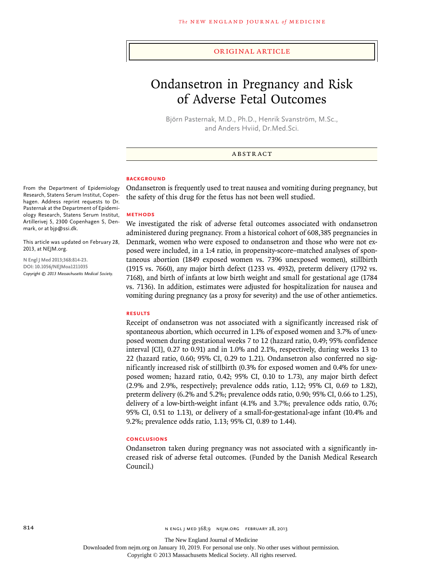#### original article

# Ondansetron in Pregnancy and Risk of Adverse Fetal Outcomes

Björn Pasternak, M.D., Ph.D., Henrik Svanström, M.Sc., and Anders Hviid, Dr.Med.Sci.

# **ABSTRACT**

#### **BACKGROUND**

Ondansetron is frequently used to treat nausea and vomiting during pregnancy, but the safety of this drug for the fetus has not been well studied.

#### **Methods**

We investigated the risk of adverse fetal outcomes associated with ondansetron administered during pregnancy. From a historical cohort of 608,385 pregnancies in Denmark, women who were exposed to ondansetron and those who were not exposed were included, in a 1:4 ratio, in propensity-score–matched analyses of spontaneous abortion (1849 exposed women vs. 7396 unexposed women), stillbirth (1915 vs. 7660), any major birth defect (1233 vs. 4932), preterm delivery (1792 vs. 7168), and birth of infants at low birth weight and small for gestational age (1784 vs. 7136). In addition, estimates were adjusted for hospitalization for nausea and vomiting during pregnancy (as a proxy for severity) and the use of other antiemetics.

#### **Results**

Receipt of ondansetron was not associated with a significantly increased risk of spontaneous abortion, which occurred in 1.1% of exposed women and 3.7% of unexposed women during gestational weeks 7 to 12 (hazard ratio, 0.49; 95% confidence interval [CI], 0.27 to 0.91) and in 1.0% and 2.1%, respectively, during weeks 13 to 22 (hazard ratio, 0.60; 95% CI, 0.29 to 1.21). Ondansetron also conferred no significantly increased risk of stillbirth (0.3% for exposed women and 0.4% for unexposed women; hazard ratio, 0.42; 95% CI, 0.10 to 1.73), any major birth defect (2.9% and 2.9%, respectively; prevalence odds ratio, 1.12; 95% CI, 0.69 to 1.82), preterm delivery (6.2% and 5.2%; prevalence odds ratio, 0.90; 95% CI, 0.66 to 1.25), delivery of a low-birth-weight infant (4.1% and 3.7%; prevalence odds ratio, 0.76; 95% CI, 0.51 to 1.13), or delivery of a small-for-gestational-age infant (10.4% and 9.2%; prevalence odds ratio, 1.13; 95% CI, 0.89 to 1.44).

### **Conclusions**

Ondansetron taken during pregnancy was not associated with a significantly increased risk of adverse fetal outcomes. (Funded by the Danish Medical Research Council.)

From the Department of Epidemiology Research, Statens Serum Institut, Copenhagen. Address reprint requests to Dr. Pasternak at the Department of Epidemiology Research, Statens Serum Institut, Artillerivej 5, 2300 Copenhagen S, Denmark, or at bjp@ssi.dk.

This article was updated on February 28, 2013, at NEJM.org.

**N Engl J Med 2013;368:814-23. DOI: 10.1056/NEJMoa1211035** *Copyright © 2013 Massachusetts Medical Society.*

The New England Journal of Medicine

Downloaded from nejm.org on January 10, 2019. For personal use only. No other uses without permission.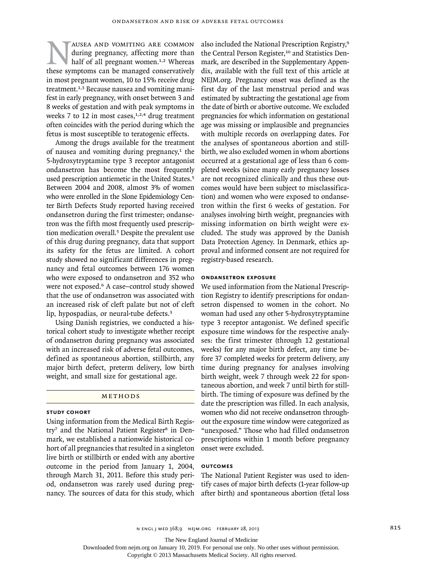AUSEA AND VOMITING ARE COMMON<br>
during pregnancy, affecting more than<br>
half of all pregnant women.<sup>1,2</sup> Whereas<br>
these symptoms can be managed conservatively during pregnancy, affecting more than half of all pregnant women.<sup>1,2</sup> Whereas in most pregnant women, 10 to 15% receive drug treatment.<sup>1,3</sup> Because nausea and vomiting manifest in early pregnancy, with onset between 3 and 8 weeks of gestation and with peak symptoms in weeks 7 to 12 in most cases, $1,2,4$  drug treatment often coincides with the period during which the fetus is most susceptible to teratogenic effects.

Among the drugs available for the treatment of nausea and vomiting during pregnancy, $1$  the 5-hydroxytryptamine type 3 receptor antagonist ondansetron has become the most frequently used prescription antiemetic in the United States.<sup>5</sup> Between 2004 and 2008, almost 3% of women who were enrolled in the Slone Epidemiology Center Birth Defects Study reported having received ondansetron during the first trimester; ondansetron was the fifth most frequently used prescription medication overall.5 Despite the prevalent use of this drug during pregnancy, data that support its safety for the fetus are limited. A cohort study showed no significant differences in pregnancy and fetal outcomes between 176 women who were exposed to ondansetron and 352 who were not exposed.<sup>6</sup> A case-control study showed that the use of ondansetron was associated with an increased risk of cleft palate but not of cleft lip, hypospadias, or neural-tube defects.<sup>3</sup>

Using Danish registries, we conducted a historical cohort study to investigate whether receipt of ondansetron during pregnancy was associated with an increased risk of adverse fetal outcomes, defined as spontaneous abortion, stillbirth, any major birth defect, preterm delivery, low birth weight, and small size for gestational age.

#### METHODS

# **Study Cohort**

Using information from the Medical Birth Registry<sup>7</sup> and the National Patient Register<sup>8</sup> in Denmark, we established a nationwide historical cohort of all pregnancies that resulted in a singleton live birth or stillbirth or ended with any abortive outcome in the period from January 1, 2004, through March 31, 2011. Before this study period, ondansetron was rarely used during pregnancy. The sources of data for this study, which also included the National Prescription Registry,<sup>9</sup> the Central Person Register,<sup>10</sup> and Statistics Denmark, are described in the Supplementary Appendix, available with the full text of this article at NEJM.org. Pregnancy onset was defined as the first day of the last menstrual period and was estimated by subtracting the gestational age from the date of birth or abortive outcome. We excluded pregnancies for which information on gestational age was missing or implausible and pregnancies with multiple records on overlapping dates. For the analyses of spontaneous abortion and stillbirth, we also excluded women in whom abortions occurred at a gestational age of less than 6 completed weeks (since many early pregnancy losses are not recognized clinically and thus these outcomes would have been subject to misclassification) and women who were exposed to ondansetron within the first 6 weeks of gestation. For analyses involving birth weight, pregnancies with missing information on birth weight were excluded. The study was approved by the Danish Data Protection Agency. In Denmark, ethics approval and informed consent are not required for registry-based research.

#### **Ondansetron Exposure**

We used information from the National Prescription Registry to identify prescriptions for ondansetron dispensed to women in the cohort. No woman had used any other 5-hydroxytryptamine type 3 receptor antagonist. We defined specific exposure time windows for the respective analyses: the first trimester (through 12 gestational weeks) for any major birth defect, any time before 37 completed weeks for preterm delivery, any time during pregnancy for analyses involving birth weight, week 7 through week 22 for spontaneous abortion, and week 7 until birth for stillbirth. The timing of exposure was defined by the date the prescription was filled. In each analysis, women who did not receive ondansetron throughout the exposure time window were categorized as "unexposed." Those who had filled ondansetron prescriptions within 1 month before pregnancy onset were excluded.

#### **Outcomes**

The National Patient Register was used to identify cases of major birth defects (1-year follow-up after birth) and spontaneous abortion (fetal loss

n engl j med 368;9 nejm.org february 28, 2013 815

The New England Journal of Medicine

Downloaded from nejm.org on January 10, 2019. For personal use only. No other uses without permission.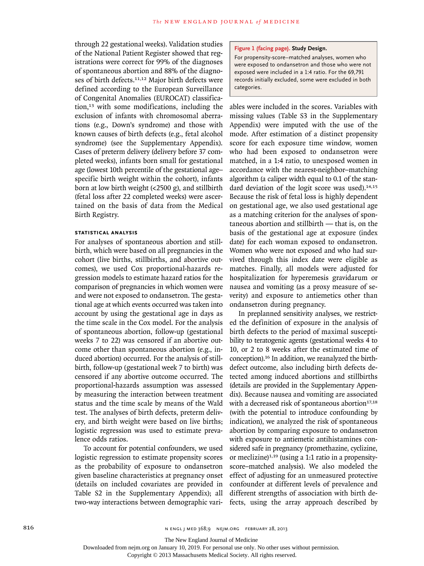through 22 gestational weeks). Validation studies of the National Patient Register showed that registrations were correct for 99% of the diagnoses of spontaneous abortion and 88% of the diagnoses of birth defects.<sup>11,12</sup> Major birth defects were defined according to the European Surveillance of Congenital Anomalies (EUROCAT) classification,13 with some modifications, including the exclusion of infants with chromosomal aberrations (e.g., Down's syndrome) and those with known causes of birth defects (e.g., fetal alcohol syndrome) (see the Supplementary Appendix). Cases of preterm delivery (delivery before 37 completed weeks), infants born small for gestational age (lowest 10th percentile of the gestational age– specific birth weight within the cohort), infants born at low birth weight (<2500 g), and stillbirth (fetal loss after 22 completed weeks) were ascertained on the basis of data from the Medical Birth Registry.

#### **Statistical Analysis**

For analyses of spontaneous abortion and stillbirth, which were based on all pregnancies in the cohort (live births, stillbirths, and abortive outcomes), we used Cox proportional-hazards regression models to estimate hazard ratios for the comparison of pregnancies in which women were and were not exposed to ondansetron. The gestational age at which events occurred was taken into account by using the gestational age in days as the time scale in the Cox model. For the analysis of spontaneous abortion, follow-up (gestational weeks 7 to 22) was censored if an abortive outcome other than spontaneous abortion (e.g., induced abortion) occurred. For the analysis of stillbirth, follow-up (gestational week 7 to birth) was censored if any abortive outcome occurred. The proportional-hazards assumption was assessed by measuring the interaction between treatment status and the time scale by means of the Wald test. The analyses of birth defects, preterm delivery, and birth weight were based on live births; logistic regression was used to estimate prevalence odds ratios.

To account for potential confounders, we used logistic regression to estimate propensity scores as the probability of exposure to ondansetron given baseline characteristics at pregnancy onset (details on included covariates are provided in Table S2 in the Supplementary Appendix); all two-way interactions between demographic vari-

#### **Figure 1 (facing page). Study Design.**

For propensity-score–matched analyses, women who were exposed to ondansetron and those who were not exposed were included in a 1:4 ratio. For the 69,791 records initially excluded, some were excluded in both categories.

ables were included in the scores. Variables with missing values (Table S3 in the Supplementary Appendix) were imputed with the use of the mode. After estimation of a distinct propensity score for each exposure time window, women who had been exposed to ondansetron were matched, in a 1:4 ratio, to unexposed women in accordance with the nearest-neighbor–matching algorithm (a caliper width equal to 0.1 of the standard deviation of the logit score was used).<sup>14,15</sup> Because the risk of fetal loss is highly dependent on gestational age, we also used gestational age as a matching criterion for the analyses of spontaneous abortion and stillbirth — that is, on the basis of the gestational age at exposure (index date) for each woman exposed to ondansetron. Women who were not exposed and who had survived through this index date were eligible as matches. Finally, all models were adjusted for hospitalization for hyperemesis gravidarum or nausea and vomiting (as a proxy measure of severity) and exposure to antiemetics other than ondansetron during pregnancy.

In preplanned sensitivity analyses, we restricted the definition of exposure in the analysis of birth defects to the period of maximal susceptibility to teratogenic agents (gestational weeks 4 to 10, or 2 to 8 weeks after the estimated time of conception).16 In addition, we reanalyzed the birthdefect outcome, also including birth defects detected among induced abortions and stillbirths (details are provided in the Supplementary Appendix). Because nausea and vomiting are associated with a decreased risk of spontaneous abortion<sup>17,18</sup> (with the potential to introduce confounding by indication), we analyzed the risk of spontaneous abortion by comparing exposure to ondansetron with exposure to antiemetic antihistamines considered safe in pregnancy (promethazine, cyclizine, or meclizine) $1,19$  (using a 1:1 ratio in a propensityscore–matched analysis). We also modeled the effect of adjusting for an unmeasured protective confounder at different levels of prevalence and different strengths of association with birth defects, using the array approach described by

Downloaded from nejm.org on January 10, 2019. For personal use only. No other uses without permission.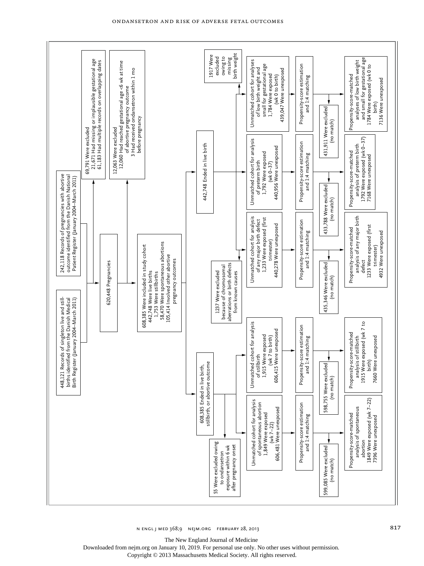

Ondansetron and Risk of Adverse Fetal Outcomes

The New England Journal of Medicine

Downloaded from nejm.org on January 10, 2019. For personal use only. No other uses without permission.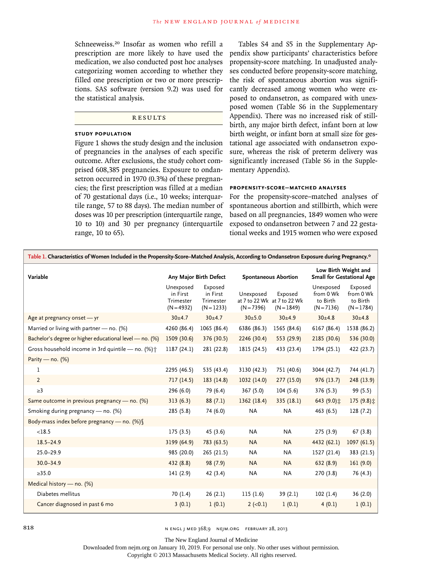Schneeweiss.20 Insofar as women who refill a prescription are more likely to have used the medication, we also conducted post hoc analyses categorizing women according to whether they filled one prescription or two or more prescriptions. SAS software (version 9.2) was used for the statistical analysis.

# R esult s

# **Study Population**

Figure 1 shows the study design and the inclusion of pregnancies in the analyses of each specific outcome. After exclusions, the study cohort comprised 608,385 pregnancies. Exposure to ondansetron occurred in 1970 (0.3%) of these pregnancies; the first prescription was filled at a median of 70 gestational days (i.e., 10 weeks; interquartile range, 57 to 88 days). The median number of doses was 10 per prescription (interquartile range, 10 to 10) and 30 per pregnancy (interquartile range, 10 to 65).

Tables S4 and S5 in the Supplementary Appendix show participants' characteristics before propensity-score matching. In unadjusted analyses conducted before propensity-score matching, the risk of spontaneous abortion was significantly decreased among women who were exposed to ondansetron, as compared with unexposed women (Table S6 in the Supplementary Appendix). There was no increased risk of stillbirth, any major birth defect, infant born at low birth weight, or infant born at small size for gestational age associated with ondansetron exposure, whereas the risk of preterm delivery was significantly increased (Table S6 in the Supplementary Appendix).

# **Propensity-Score–Matched Analyses**

For the propensity-score–matched analyses of spontaneous abortion and stillbirth, which were based on all pregnancies, 1849 women who were exposed to ondansetron between 7 and 22 gestational weeks and 1915 women who were exposed

| Table 1. Characteristics of Women Included in the Propensity-Score-Matched Analysis, According to Ondansetron Exposure during Pregnancy.* |                                                    |                                                  |                             |                                                        |                                                          |                                                  |  |
|-------------------------------------------------------------------------------------------------------------------------------------------|----------------------------------------------------|--------------------------------------------------|-----------------------------|--------------------------------------------------------|----------------------------------------------------------|--------------------------------------------------|--|
| Variable                                                                                                                                  | Any Major Birth Defect                             |                                                  | <b>Spontaneous Abortion</b> |                                                        | Low Birth Weight and<br><b>Small for Gestational Age</b> |                                                  |  |
|                                                                                                                                           | Unexposed<br>in First<br>Trimester<br>$(N = 4932)$ | Exposed<br>in First<br>Trimester<br>$(N = 1233)$ | Unexposed<br>$(N = 7396)$   | Exposed<br>at 7 to 22 Wk at 7 to 22 Wk<br>$(N = 1849)$ | Unexposed<br>from 0 Wk<br>to Birth<br>$(N = 7136)$       | Exposed<br>from 0 Wk<br>to Birth<br>$(N = 1784)$ |  |
| Age at pregnancy onset - yr                                                                                                               | $30+4.7$                                           | $30+4.7$                                         | 30±5.0                      | 30±4.9                                                 | 30±4.8                                                   | 30±4.8                                           |  |
| Married or living with partner - no. (%)                                                                                                  | 4260 (86.4)                                        | 1065 (86.4)                                      | 6386 (86.3)                 | 1565 (84.6)                                            | 6167 (86.4)                                              | 1538 (86.2)                                      |  |
| Bachelor's degree or higher educational level - no. (%)                                                                                   | 1509 (30.6)                                        | 376 (30.5)                                       | 2246 (30.4)                 | 553 (29.9)                                             | 2185 (30.6)                                              | 536 (30.0)                                       |  |
| Gross household income in 3rd quintile - no. (%) +                                                                                        | 1187 (24.1)                                        | 281 (22.8)                                       | 1815 (24.5)                 | 433 (23.4)                                             | 1794 (25.1)                                              | 422 (23.7)                                       |  |
| Parity — $no.$ (%)                                                                                                                        |                                                    |                                                  |                             |                                                        |                                                          |                                                  |  |
| 1                                                                                                                                         | 2295 (46.5)                                        | 535 (43.4)                                       | 3130 (42.3)                 | 751 (40.6)                                             | 3044 (42.7)                                              | 744 (41.7)                                       |  |
| $\overline{2}$                                                                                                                            | 717(14.5)                                          | 183 (14.8)                                       | 1032 (14.0)                 | 277 (15.0)                                             | 976(13.7)                                                | 248 (13.9)                                       |  |
| $\geq$ 3                                                                                                                                  | 296 (6.0)                                          | 79 (6.4)                                         | 367 (5.0)                   | 104(5.6)                                               | 376 (5.3)                                                | 99 (5.5)                                         |  |
| Same outcome in previous pregnancy — no. (%)                                                                                              | 313(6.3)                                           | 88(7.1)                                          | 1362 (18.4)                 | 335 (18.1)                                             | 643 (9.0) $\ddagger$                                     | 175 (9.8) $\ddagger$                             |  |
| Smoking during pregnancy - no. (%)                                                                                                        | 285 (5.8)                                          | 74 (6.0)                                         | <b>NA</b>                   | <b>NA</b>                                              | 463 (6.5)                                                | 128 (7.2)                                        |  |
| Body-mass index before pregnancy - no. (%) §                                                                                              |                                                    |                                                  |                             |                                                        |                                                          |                                                  |  |
| < 18.5                                                                                                                                    | 175(3.5)                                           | 45 (3.6)                                         | <b>NA</b>                   | <b>NA</b>                                              | 275(3.9)                                                 | 67(3.8)                                          |  |
| $18.5 - 24.9$                                                                                                                             | 3199 (64.9)                                        | 783 (63.5)                                       | <b>NA</b>                   | <b>NA</b>                                              | 4432 (62.1)                                              | 1097(61.5)                                       |  |
| $25.0 - 29.9$                                                                                                                             | 985 (20.0)                                         | 265 (21.5)                                       | <b>NA</b>                   | <b>NA</b>                                              | 1527 (21.4)                                              | 383 (21.5)                                       |  |
| $30.0 - 34.9$                                                                                                                             | 432 (8.8)                                          | 98 (7.9)                                         | <b>NA</b>                   | <b>NA</b>                                              | 632(8.9)                                                 | 161(9.0)                                         |  |
| $\geq 35.0$                                                                                                                               | 141(2.9)                                           | 42 (3.4)                                         | <b>NA</b>                   | <b>NA</b>                                              | 270(3.8)                                                 | 76 (4.3)                                         |  |
| Medical history - no. (%)                                                                                                                 |                                                    |                                                  |                             |                                                        |                                                          |                                                  |  |
| Diabetes mellitus                                                                                                                         | 70 (1.4)                                           | 26(2.1)                                          | 115(1.6)                    | 39(2.1)                                                | 102(1.4)                                                 | 36(2.0)                                          |  |
| Cancer diagnosed in past 6 mo                                                                                                             | 3(0.1)                                             | 1(0.1)                                           | $2(-0.1)$                   | 1(0.1)                                                 | 4(0.1)                                                   | 1(0.1)                                           |  |

818 **818** N ENGL J MED 368;9 NEJM.ORG FEBRUARY 28, 2013

The New England Journal of Medicine

Downloaded from nejm.org on January 10, 2019. For personal use only. No other uses without permission.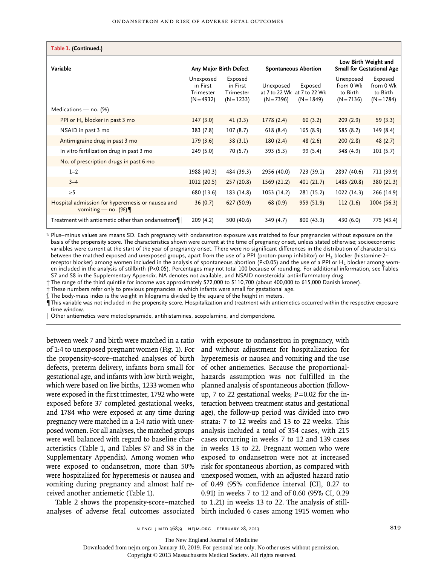| Table 1. (Continued.)                                                     |                                                    |                                                  |                             |                                                        |                                                          |                                                  |
|---------------------------------------------------------------------------|----------------------------------------------------|--------------------------------------------------|-----------------------------|--------------------------------------------------------|----------------------------------------------------------|--------------------------------------------------|
| Variable                                                                  | Any Major Birth Defect                             |                                                  | <b>Spontaneous Abortion</b> |                                                        | Low Birth Weight and<br><b>Small for Gestational Age</b> |                                                  |
|                                                                           | Unexposed<br>in First<br>Trimester<br>$(N = 4932)$ | Exposed<br>in First<br>Trimester<br>$(N = 1233)$ | Unexposed<br>$(N = 7396)$   | Exposed<br>at 7 to 22 Wk at 7 to 22 Wk<br>$(N = 1849)$ | Unexposed<br>from 0 Wk<br>to Birth<br>$(N = 7136)$       | Exposed<br>from 0 Wk<br>to Birth<br>$(N = 1784)$ |
| Medications - no. (%)                                                     |                                                    |                                                  |                             |                                                        |                                                          |                                                  |
| PPI or $H_2$ blocker in past 3 mo                                         | 147(3.0)                                           | 41(3.3)                                          | 1778(2.4)                   | 60(3.2)                                                | 209(2.9)                                                 | 59(3.3)                                          |
| NSAID in past 3 mo                                                        | 383 (7.8)                                          | 107(8.7)                                         | 618(8.4)                    | 165 (8.9)                                              | 585 (8.2)                                                | 149 (8.4)                                        |
| Antimigraine drug in past 3 mo                                            | 179(3.6)                                           | 38(3.1)                                          | 180(2.4)                    | 48(2.6)                                                | 200(2.8)                                                 | 48(2.7)                                          |
| In vitro fertilization drug in past 3 mo                                  | 249 (5.0)                                          | 70 (5.7)                                         | 393 (5.3)                   | 99 (5.4)                                               | 348 (4.9)                                                | 101(5.7)                                         |
| No. of prescription drugs in past 6 mo                                    |                                                    |                                                  |                             |                                                        |                                                          |                                                  |
| $1 - 2$                                                                   | 1988 (40.3)                                        | 484 (39.3)                                       | 2956 (40.0)                 | 723 (39.1)                                             | 2897 (40.6)                                              | 711 (39.9)                                       |
| $3 - 4$                                                                   | 1012(20.5)                                         | 257(20.8)                                        | 1569(21.2)                  | 401 (21.7)                                             | 1485 (20.8)                                              | 380 (21.3)                                       |
| $\geq$ 5                                                                  | 680 (13.6)                                         | 183 (14.8)                                       | 1053 (14.2)                 | 281 (15.2)                                             | 1022 (14.3)                                              | 266 (14.9)                                       |
| Hospital admission for hyperemesis or nausea and<br>vomiting — no. $(\%)$ | 36(0.7)                                            | 627 (50.9)                                       | 68(0.9)                     | 959 (51.9)                                             | 112(1.6)                                                 | 1004(56.3)                                       |
| Treatment with antiemetic other than ondansetron $\P$                     | 209 (4.2)                                          | 500 (40.6)                                       | 349 (4.7)                   | 800 (43.3)                                             | 430 (6.0)                                                | 775 (43.4)                                       |

\* Plus–minus values are means SD. Each pregnancy with ondansetron exposure was matched to four pregnancies without exposure on the basis of the propensity score. The characteristics shown were current at the time of pregnancy onset, unless stated otherwise; socioeconomic variables were current at the start of the year of pregnancy onset. There were no significant differences in the distribution of characteristics between the matched exposed and unexposed groups, apart from the use of a PPI (proton-pump inhibitor) or H<sub>2</sub> blocker (histamine-2– receptor blocker) among women included in the analysis of spontaneous abortion (P<0.05) and the use of a PPI or H2 blocker among women included in the analysis of stillbirth (P<0.05). Percentages may not total 100 because of rounding. For additional information, see Tables S7 and S8 in the Supplementary Appendix. NA denotes not available, and NSAID nonsteroidal antiinflammatory drug.

† The range of the third quintile for income was approximately \$72,000 to \$110,700 (about 400,000 to 615,000 Danish kroner).

‡ These numbers refer only to previous pregnancies in which infants were small for gestational age.

The body-mass index is the weight in kilograms divided by the square of the height in meters.

¶This variable was not included in the propensity score. Hospitalization and treatment with antiemetics occurred within the respective exposure time window.

Other antiemetics were metoclopramide, antihistamines, scopolamine, and domperidone.

between week 7 and birth were matched in a ratio of 1:4 to unexposed pregnant women (Fig. 1). For the propensity-score–matched analyses of birth defects, preterm delivery, infants born small for gestational age, and infants with low birth weight, which were based on live births, 1233 women who were exposed in the first trimester, 1792 who were exposed before 37 completed gestational weeks, and 1784 who were exposed at any time during pregnancy were matched in a 1:4 ratio with unexposed women. For all analyses, the matched groups were well balanced with regard to baseline characteristics (Table 1, and Tables S7 and S8 in the Supplementary Appendix). Among women who were exposed to ondansetron, more than 50% were hospitalized for hyperemesis or nausea and vomiting during pregnancy and almost half received another antiemetic (Table 1).

analyses of adverse fetal outcomes associated birth included 6 cases among 1915 women who

Table 2 shows the propensity-score–matched to 1.21) in weeks 13 to 22. The analysis of stillwith exposure to ondansetron in pregnancy, with and without adjustment for hospitalization for hyperemesis or nausea and vomiting and the use of other antiemetics. Because the proportionalhazards assumption was not fulfilled in the planned analysis of spontaneous abortion (followup, 7 to 22 gestational weeks;  $P=0.02$  for the interaction between treatment status and gestational age), the follow-up period was divided into two strata: 7 to 12 weeks and 13 to 22 weeks. This analysis included a total of 354 cases, with 215 cases occurring in weeks 7 to 12 and 139 cases in weeks 13 to 22. Pregnant women who were exposed to ondansetron were not at increased risk for spontaneous abortion, as compared with unexposed women, with an adjusted hazard ratio of 0.49 (95% confidence interval [CI], 0.27 to 0.91) in weeks 7 to 12 and of 0.60 (95% CI, 0.29

The New England Journal of Medicine

Downloaded from nejm.org on January 10, 2019. For personal use only. No other uses without permission.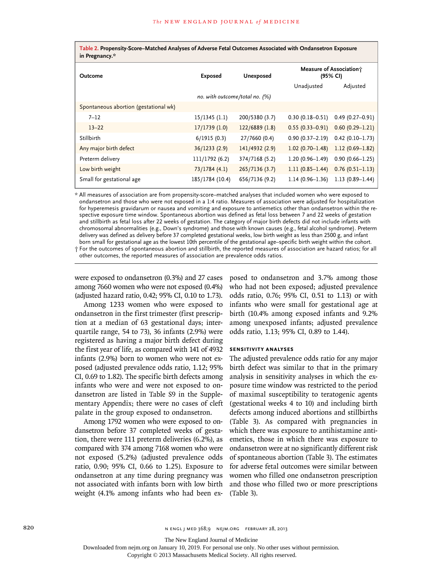| Table 2. Propensity-Score–Matched Analyses of Adverse Fetal Outcomes Associated with Ondansetron Exposure<br>in Pregnancy.* |                 |                |                                     |                     |  |  |
|-----------------------------------------------------------------------------------------------------------------------------|-----------------|----------------|-------------------------------------|---------------------|--|--|
| Outcome                                                                                                                     | <b>Exposed</b>  | Unexposed      | Measure of Association;<br>(95% CI) |                     |  |  |
|                                                                                                                             |                 |                | Unadjusted                          | Adjusted            |  |  |
| no. with outcome/total no. $(%)$                                                                                            |                 |                |                                     |                     |  |  |
| Spontaneous abortion (gestational wk)                                                                                       |                 |                |                                     |                     |  |  |
| $7 - 12$                                                                                                                    | $15/1345$ (1.1) | 200/5380 (3.7) | $0.30(0.18 - 0.51)$                 | $0.49(0.27-0.91)$   |  |  |
| $13 - 22$                                                                                                                   | 17/1739(1.0)    | 122/6889(1.8)  | $0.55(0.33 - 0.91)$                 | $0.60(0.29 - 1.21)$ |  |  |
| Stillbirth                                                                                                                  | 6/1915(0.3)     | 27/7660 (0.4)  | $0.90(0.37 - 2.19)$                 | $0.42(0.10-1.73)$   |  |  |
| Any major birth defect                                                                                                      | 36/1233(2.9)    | 141/4932 (2.9) | $1.02(0.70 - 1.48)$                 | $1.12(0.69-1.82)$   |  |  |
| Preterm delivery                                                                                                            | 111/1792 (6.2)  | 374/7168 (5.2) | $1.20(0.96 - 1.49)$                 | $0.90(0.66 - 1.25)$ |  |  |
| Low birth weight                                                                                                            | 73/1784 (4.1)   | 265/7136(3.7)  | $1.11(0.85 - 1.44)$                 | $0.76(0.51 - 1.13)$ |  |  |
| Small for gestational age                                                                                                   | 185/1784 (10.4) | 656/7136 (9.2) | $1.14(0.96 - 1.36)$                 | $1.13(0.89 - 1.44)$ |  |  |

\* All measures of association are from propensity-score–matched analyses that included women who were exposed to ondansetron and those who were not exposed in a 1:4 ratio. Measures of association were adjusted for hospitalization for hyperemesis gravidarum or nausea and vomiting and exposure to antiemetics other than ondansetron within the respective exposure time window. Spontaneous abortion was defined as fetal loss between 7 and 22 weeks of gestation and stillbirth as fetal loss after 22 weeks of gestation. The category of major birth defects did not include infants with chromosomal abnormalities (e.g., Down's syndrome) and those with known causes (e.g., fetal alcohol syndrome). Preterm delivery was defined as delivery before 37 completed gestational weeks, low birth weight as less than 2500 g, and infant born small for gestational age as the lowest 10th percentile of the gestational age–specific birth weight within the cohort. † For the outcomes of spontaneous abortion and stillbirth, the reported measures of association are hazard ratios; for all

other outcomes, the reported measures of association are prevalence odds ratios.

were exposed to ondansetron (0.3%) and 27 cases among 7660 women who were not exposed (0.4%) (adjusted hazard ratio, 0.42; 95% CI, 0.10 to 1.73).

Among 1233 women who were exposed to ondansetron in the first trimester (first prescription at a median of 63 gestational days; interquartile range, 54 to 73), 36 infants (2.9%) were registered as having a major birth defect during the first year of life, as compared with 141 of 4932 infants (2.9%) born to women who were not exposed (adjusted prevalence odds ratio, 1.12; 95% CI, 0.69 to 1.82). The specific birth defects among infants who were and were not exposed to ondansetron are listed in Table S9 in the Supplementary Appendix; there were no cases of cleft palate in the group exposed to ondansetron.

Among 1792 women who were exposed to ondansetron before 37 completed weeks of gestation, there were 111 preterm deliveries (6.2%), as compared with 374 among 7168 women who were not exposed (5.2%) (adjusted prevalence odds ratio, 0.90; 95% CI, 0.66 to 1.25). Exposure to ondansetron at any time during pregnancy was not associated with infants born with low birth weight (4.1% among infants who had been exposed to ondansetron and 3.7% among those who had not been exposed; adjusted prevalence odds ratio, 0.76; 95% CI, 0.51 to 1.13) or with infants who were small for gestational age at birth (10.4% among exposed infants and 9.2% among unexposed infants; adjusted prevalence odds ratio, 1.13; 95% CI, 0.89 to 1.44).

#### **Sensitivity Analyses**

The adjusted prevalence odds ratio for any major birth defect was similar to that in the primary analysis in sensitivity analyses in which the exposure time window was restricted to the period of maximal susceptibility to teratogenic agents (gestational weeks 4 to 10) and including birth defects among induced abortions and stillbirths (Table 3). As compared with pregnancies in which there was exposure to antihistamine antiemetics, those in which there was exposure to ondansetron were at no significantly different risk of spontaneous abortion (Table 3). The estimates for adverse fetal outcomes were similar between women who filled one ondansetron prescription and those who filled two or more prescriptions (Table 3).

820 **820** N ENGL J MED 368;9 NEJM.ORG FEBRUARY 28, 2013

The New England Journal of Medicine

Downloaded from nejm.org on January 10, 2019. For personal use only. No other uses without permission.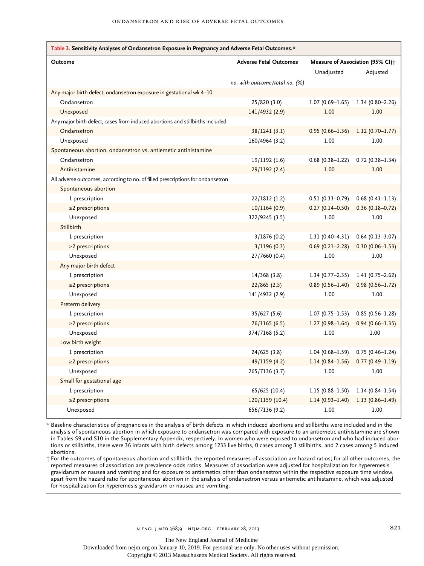| Table 3. Sensitivity Analyses of Ondansetron Exposure in Pregnancy and Adverse Fetal Outcomes.* |                                |                                   |                     |  |  |  |
|-------------------------------------------------------------------------------------------------|--------------------------------|-----------------------------------|---------------------|--|--|--|
| Outcome                                                                                         | <b>Adverse Fetal Outcomes</b>  | Measure of Association (95% CI) ; |                     |  |  |  |
|                                                                                                 |                                | Unadjusted                        | Adjusted            |  |  |  |
|                                                                                                 | no. with outcome/total no. (%) |                                   |                     |  |  |  |
| Any major birth defect, ondansetron exposure in gestational wk 4-10                             |                                |                                   |                     |  |  |  |
| Ondansetron                                                                                     | 25/820 (3.0)                   | $1.07(0.69 - 1.65)$               | $1.34(0.80 - 2.26)$ |  |  |  |
| Unexposed                                                                                       | 141/4932 (2.9)                 | 1.00                              | 1.00                |  |  |  |
| Any major birth defect, cases from induced abortions and stillbirths included                   |                                |                                   |                     |  |  |  |
| Ondansetron                                                                                     | 38/1241(3.1)                   | $0.95(0.66 - 1.36)$               | $1.12(0.70-1.77)$   |  |  |  |
| Unexposed                                                                                       | 160/4964 (3.2)                 | 1.00                              | 1.00                |  |  |  |
| Spontaneous abortion, ondansetron vs. antiemetic antihistamine                                  |                                |                                   |                     |  |  |  |
| Ondansetron                                                                                     | 19/1192 (1.6)                  | $0.68$ (0.38-1.22)                | $0.72(0.38 - 1.34)$ |  |  |  |
| Antihistamine                                                                                   | 29/1192 (2.4)                  | 1.00                              | 1.00                |  |  |  |
| All adverse outcomes, according to no. of filled prescriptions for ondansetron                  |                                |                                   |                     |  |  |  |
| Spontaneous abortion                                                                            |                                |                                   |                     |  |  |  |
| 1 prescription                                                                                  | 22/1812 (1.2)                  | $0.51(0.33 - 0.79)$               | $0.68$ (0.41-1.13)  |  |  |  |
| $\geq$ 2 prescriptions                                                                          | 10/1164 (0.9)                  | $0.27(0.14 - 0.50)$               | $0.36(0.18 - 0.72)$ |  |  |  |
| Unexposed                                                                                       | 322/9245 (3.5)                 | 1.00                              | 1.00                |  |  |  |
| Stillbirth                                                                                      |                                |                                   |                     |  |  |  |
| 1 prescription                                                                                  | 3/1876(0.2)                    | $1.31(0.40-4.31)$                 | $0.64$ (0.13-3.07)  |  |  |  |
| $\geq$ 2 prescriptions                                                                          | 3/1196(0.3)                    | $0.69(0.21 - 2.28)$               | $0.30(0.06 - 1.53)$ |  |  |  |
| Unexposed                                                                                       | 27/7660 (0.4)                  | 1.00                              | 1.00                |  |  |  |
| Any major birth defect                                                                          |                                |                                   |                     |  |  |  |
| 1 prescription                                                                                  | 14/368(3.8)                    | $1.34(0.77 - 2.35)$               | $1.41(0.75 - 2.62)$ |  |  |  |
| $\geq$ 2 prescriptions                                                                          | 22/865(2.5)                    | $0.89(0.56 - 1.40)$               | $0.98(0.56 - 1.72)$ |  |  |  |
| Unexposed                                                                                       | 141/4932 (2.9)                 | 1.00                              | 1.00                |  |  |  |
| Preterm delivery                                                                                |                                |                                   |                     |  |  |  |
| 1 prescription                                                                                  | 35/627 (5.6)                   | $1.07(0.75 - 1.53)$               | $0.85(0.56 - 1.28)$ |  |  |  |
| $\geq$ 2 prescriptions                                                                          | 76/1165 (6.5)                  | $1.27(0.98 - 1.64)$               | $0.94(0.66 - 1.35)$ |  |  |  |
| Unexposed                                                                                       | 374/7168 (5.2)                 | 1.00                              | 1.00                |  |  |  |
| Low birth weight                                                                                |                                |                                   |                     |  |  |  |
| 1 prescription                                                                                  | 24/625 (3.8)                   | $1.04(0.68 - 1.59)$               | $0.75(0.46 - 1.24)$ |  |  |  |
| $\geq$ 2 prescriptions                                                                          | 49/1159 (4.2)                  | $1.14(0.84 - 1.56)$               | $0.77(0.49-1.19)$   |  |  |  |
| Unexposed                                                                                       | 265/7136 (3.7)                 | 1.00                              | 1.00                |  |  |  |
| Small for gestational age                                                                       |                                |                                   |                     |  |  |  |
| 1 prescription                                                                                  | 65/625 (10.4)                  | $1.15(0.88 - 1.50)$               | $1.14(0.84 - 1.54)$ |  |  |  |
| $\geq$ 2 prescriptions                                                                          | 120/1159 (10.4)                | $1.14(0.93 - 1.40)$               | $1.13(0.86 - 1.49)$ |  |  |  |
| Unexposed                                                                                       | 656/7136 (9.2)                 | 1.00                              | 1.00                |  |  |  |

\* Baseline characteristics of pregnancies in the analysis of birth defects in which induced abortions and stillbirths were included and in the analysis of spontaneous abortion in which exposure to ondansetron was compared with exposure to an antiemetic antihistamine are shown in Tables S9 and S10 in the Supplementary Appendix, respectively. In women who were exposed to ondansetron and who had induced abortions or stillbirths, there were 36 infants with birth defects among 1233 live births, 0 cases among 3 stillbirths, and 2 cases among 5 induced abortions.

† For the outcomes of spontaneous abortion and stillbirth, the reported measures of association are hazard ratios; for all other outcomes, the reported measures of association are prevalence odds ratios. Measures of association were adjusted for hospitalization for hyperemesis gravidarum or nausea and vomiting and for exposure to antiemetics other than ondansetron within the respective exposure time window, apart from the hazard ratio for spontaneous abortion in the analysis of ondansetron versus antiemetic antihistamine, which was adjusted for hospitalization for hyperemesis gravidarum or nausea and vomiting.

The New England Journal of Medicine

Downloaded from nejm.org on January 10, 2019. For personal use only. No other uses without permission.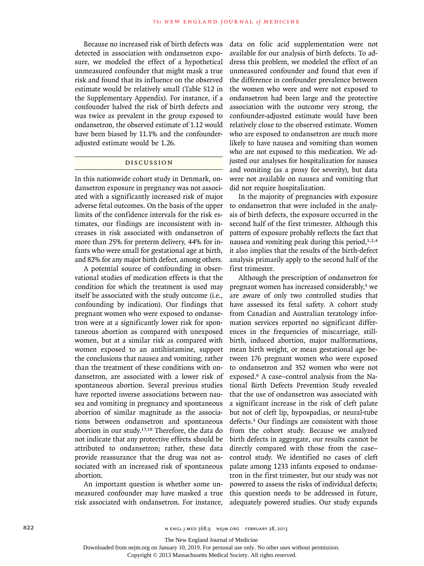Because no increased risk of birth defects was detected in association with ondansetron exposure, we modeled the effect of a hypothetical unmeasured confounder that might mask a true risk and found that its influence on the observed estimate would be relatively small (Table S12 in the Supplementary Appendix). For instance, if a confounder halved the risk of birth defects and was twice as prevalent in the group exposed to ondansetron, the observed estimate of 1.12 would have been biased by 11.1% and the confounderadjusted estimate would be 1.26.

# Discussion

In this nationwide cohort study in Denmark, ondansetron exposure in pregnancy was not associated with a significantly increased risk of major adverse fetal outcomes. On the basis of the upper limits of the confidence intervals for the risk estimates, our findings are inconsistent with increases in risk associated with ondansetron of more than 25% for preterm delivery, 44% for infants who were small for gestational age at birth, and 82% for any major birth defect, among others.

A potential source of confounding in observational studies of medication effects is that the condition for which the treatment is used may itself be associated with the study outcome (i.e., confounding by indication). Our findings that pregnant women who were exposed to ondansetron were at a significantly lower risk for spontaneous abortion as compared with unexposed women, but at a similar risk as compared with women exposed to an antihistamine, support the conclusions that nausea and vomiting, rather than the treatment of these conditions with ondansetron, are associated with a lower risk of spontaneous abortion. Several previous studies have reported inverse associations between nausea and vomiting in pregnancy and spontaneous abortion of similar magnitude as the associations between ondansetron and spontaneous abortion in our study.17,18 Therefore, the data do not indicate that any protective effects should be attributed to ondansetron; rather, these data provide reassurance that the drug was not associated with an increased risk of spontaneous abortion.

An important question is whether some unmeasured confounder may have masked a true risk associated with ondansetron. For instance,

data on folic acid supplementation were not available for our analysis of birth defects. To address this problem, we modeled the effect of an unmeasured confounder and found that even if the difference in confounder prevalence between the women who were and were not exposed to ondansetron had been large and the protective association with the outcome very strong, the confounder-adjusted estimate would have been relatively close to the observed estimate. Women who are exposed to ondansetron are much more likely to have nausea and vomiting than women who are not exposed to this medication. We adjusted our analyses for hospitalization for nausea and vomiting (as a proxy for severity), but data were not available on nausea and vomiting that did not require hospitalization.

In the majority of pregnancies with exposure to ondansetron that were included in the analysis of birth defects, the exposure occurred in the second half of the first trimester. Although this pattern of exposure probably reflects the fact that nausea and vomiting peak during this period, $1,2,4$ it also implies that the results of the birth-defect analysis primarily apply to the second half of the first trimester.

Although the prescription of ondansetron for pregnant women has increased considerably,5 we are aware of only two controlled studies that have assessed its fetal safety. A cohort study from Canadian and Australian teratology information services reported no significant differences in the frequencies of miscarriage, stillbirth, induced abortion, major malformations, mean birth weight, or mean gestational age between 176 pregnant women who were exposed to ondansetron and 352 women who were not exposed.6 A case–control analysis from the National Birth Defects Prevention Study revealed that the use of ondansetron was associated with a significant increase in the risk of cleft palate but not of cleft lip, hypospadias, or neural-tube defects.3 Our findings are consistent with those from the cohort study. Because we analyzed birth defects in aggregate, our results cannot be directly compared with those from the case– control study. We identified no cases of cleft palate among 1233 infants exposed to ondansetron in the first trimester, but our study was not powered to assess the risks of individual defects; this question needs to be addressed in future, adequately powered studies. Our study expands

The New England Journal of Medicine

Downloaded from nejm.org on January 10, 2019. For personal use only. No other uses without permission.